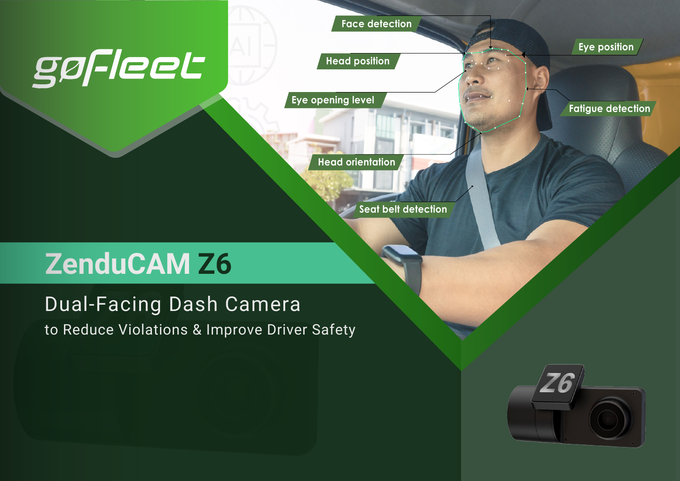# gøfleet

**Face detection**

**Eye position**

**Fatigue detection**

**Head position**

**Eye opening level**

**Head orientation**

**Seat belt detection**

# **ZenduCAM Z6**

#### to Reduce Violations & Improve Driver Safety Dual-Facing Dash Camera

Z6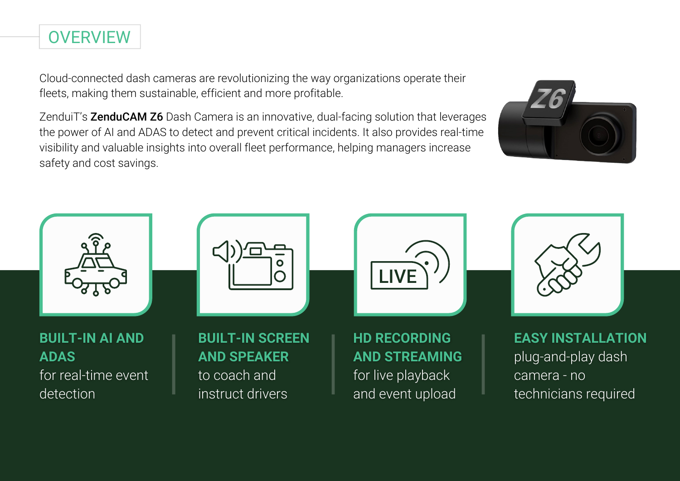Cloud-connected dash cameras are revolutionizing the way organizations operate their fleets, making them sustainable, efficient and more profitable.

**OVERVIEW** 

ZenduiT's **ZenduCAM Z6** Dash Camera is an innovative, dual-facing solution that leverages the power of AI and ADAS to detect and prevent critical incidents. It also provides real-time visibility and valuable insights into overall fleet performance, helping managers increase safety and cost savings.



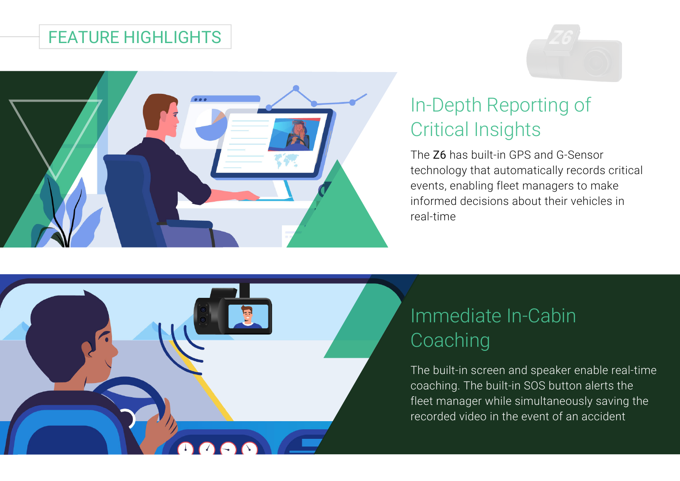#### FEATURE HIGHLIGHTS



# In-Depth Reporting of Critical Insights

The Z6 has built-in GPS and G-Sensor technology that automatically records critical events, enabling fleet managers to make informed decisions about their vehicles in real-time



## Immediate In-Cabin **Coaching**

The built-in screen and speaker enable real-time coaching. The built-in SOS button alerts the fleet manager while simultaneously saving the recorded video in the event of an accident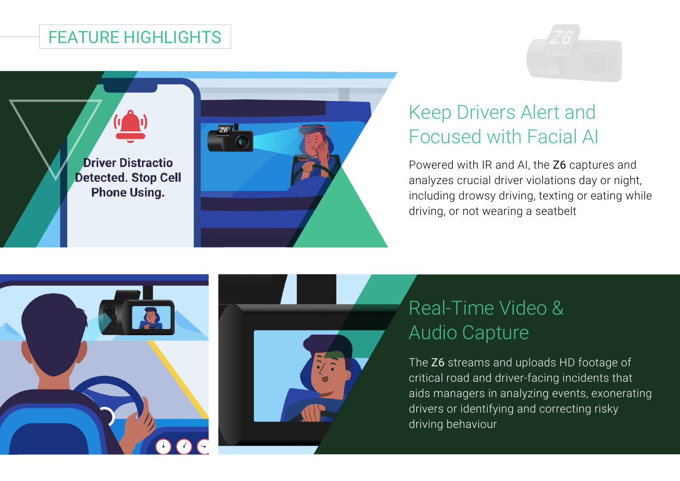#### FEATURE HIGHLIGHTS





# Keep Drivers Alert and Focused with Facial AI

Powered with IR and AI, the Z6 captures and analyzes crucial driver violations day or night, including drowsy driving, texting or eating while driving, or not wearing a seatbelt





# Real-Time Video & Audio Capture

The Z6 streams and uploads HD footage of critical road and driver-facing incidents that aids managers in analyzing events, exonerating drivers or identifying and correcting risky driving behaviour